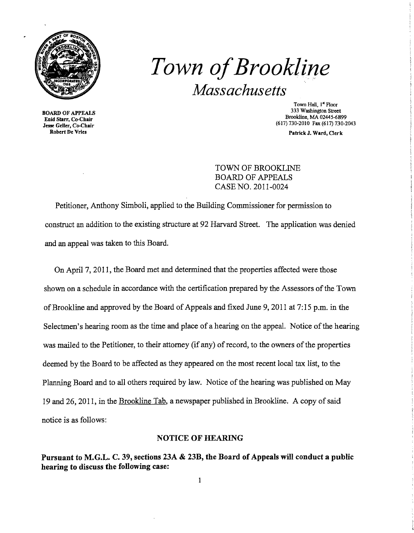

# *Town ofBrookline Massachusetts*

BOARD OF APPEALS Enid Starr, Co-Chair Jesse Geller, Co-Chair Robert De Vries

Town Hall, 1<sup>st</sup> Floor 333 Washington Street Brookline. MA 02445-6899 (617) 730-2010 Fax (617) 730-2043

Patrick J. Ward, Oerk

TOWN OF BROOKLINE BOARD OF APPEALS CASE NO. 2011-0024

Petitioner, Anthony Simboli, applied to the Building Commissioner for permission to construct an addition to the existing structure at 92 Harvard Street. The application was denied and an appeal was taken to this Board.

On April 7, 2011, the Board met and determined that the properties affected were those shown on a schedule in accordance with the certification prepared by the Assessors of the Town ofBrookline and approved by the Board of Appeals and fixed June 9, 2011 at 7: 15 p.m. in the Selectmen's hearing room as the time and place of a hearing on the appeal. Notice of the hearing was mailed to the Petitioner, to their attorney (if any) of record, to the owners of the properties deemed by the Board to be affected as they appeared on the most recent local tax list, to the Planning Board and to all others required by law. Notice of the hearing was published on May 19 and 26, 2011, in the Brookline Tab, a newspaper published in Brookline. A copy of said notice is as follows:

#### NOTICE OF HEARING

Pursuant to M.G.L. C. 39, sections 23A & 23B, the Board of Appeals will conduct a public hearing to discuss the following case: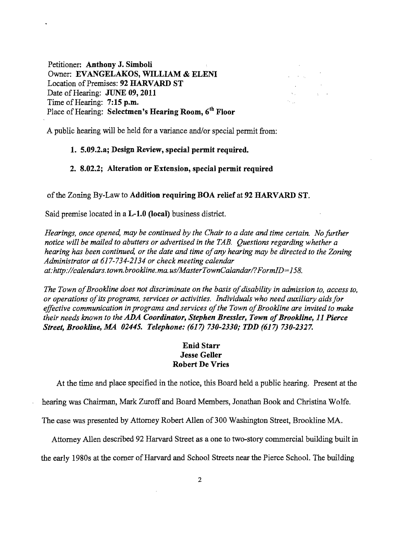Petitioner: Anthony J. Simboli Owner: EVANGELAKOS, WILLIAM & ELENI Location of Premises: 92 HARVARD ST Date of Hearing: JUNE 09, 2011 Time of Hearing: 7:15 p.m. Place of Hearing: Selectmen's Hearing Room, 6<sup>th</sup> Floor



A public hearing will be held for a variance and/or special permit from:

## 1. 5.09.2.a; Design Review, special permit required.

# 2. 8.02.2; Alteration or Extension, special permit required

#### of the Zoning By-Law to Addition requiring BOA relief at 92 HARVARD ST.

Said premise located in a L-l.O (local) business district.

*Hearings, once opened, may be continued by the Chair to a date and time certain. No further notice will be mailed to abutters or advertised in the TAB. Questions regarding whether a hearing has been continued, or the date and time ofany hearing may be directed to the Zoning Administrator at* 617-734-2134 *or check meeting calendar at:http://calendars.town.brookline.ma.usIMasterTownCalandarl?FormID=158.* 

*The Town of Brookline does not discriminate on the basis of disability in admission to, access to, or operations ofits programs, services or activities. Individuals who need auxiliary aidsfor*  effective communication in programs and services of the Town of Brookline are invited to make *their needs known to the* ADA *Coordinator, Stephen Bressler, Town ofBrookline,* 11 *Pierce Street, Brookline,.MA 02445. Telephone:* (617) *730-2330,. TDD* (617) *730-2327.* 

# Enid Starr Jesse Geller Robert De Vries

At the time and place specified in the notice, this Board held a public hearing. Present at the

hearing was Chairman, Mark Zuroff and Board Members, Jonathan Book and Christina Wolfe.

The case was presented by Attorney Robert Allen of 300 Washington Street, Brookline MA.

Attorney Allen described 92 Harvard Street as a one to two-story commercial building built in

the early 1980s at the corner of Harvard and School Streets near the Pierce School. The building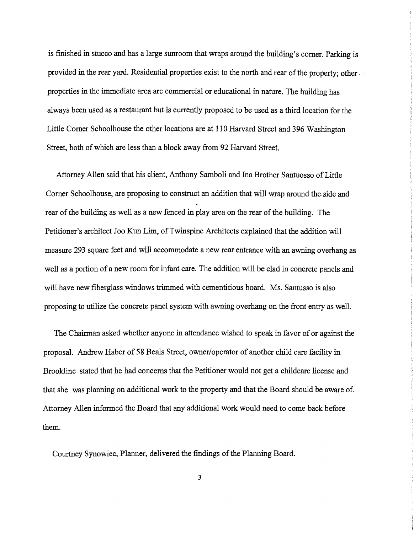is finished in stucco and has a large sunroom that wraps around the building's corner. Parking is provided in the rear yard. Residential properties exist to the north and rear of the property; other properties in the immediate area are commercial or educational in nature. The building has always been used as a restaurant but is currently proposed to be used as a third location for the Little Comer Schoolhouse the other locations are at **110** Harvard Street and 396 Washington Street, both of which are less than a block away from 92 Harvard Street.

Attorney Allen said that his client, Anthony Samboli and Ina Brother Santuosso of Little Corner Schoolhouse, are proposing to construct an addition that will wrap around the. side and rear of the building as well as a new fenced in play area on the rear of the building. The Petitioner's architect Joo Kun Lim, of Twinspine Architects explained that the addition will measure 293 square feet and will accommodate a new rear entrance with an awning overhang as well as a portion of a new room for infant care. The addition will be clad in concrete panels and will have new fiberglass windows trimmed with cementitious board. Ms. Santusso is also proposing to utilize the concrete panel system with awning overhang on the front entry as well.

The Chairman asked whether anyone in attendance wished to speak in favor of or against the proposal. Andrew Haber of 58 Beals Street, owner/operator of another child care facility in Brookline stated that he had concerns that the Petitioner would not get a childcare license and that she was planning on additional work to the property and that the Board should be aware of. Attorney Allen informed the Board that any additional work would need to come back before them.

Courtney Synowiec, Planner, delivered the findings of the Planning Board.

3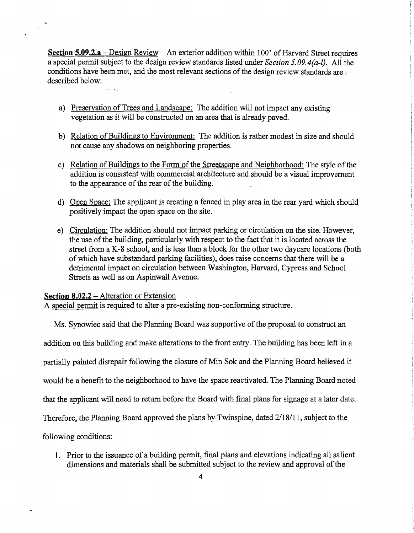**Section 5.09.2.a** – Design Review – An exterior addition within 100' of Harvard Street requires a special permit subject to the design review standards listed under *Section 5.09.4(a-l).* All the conditions have been met, and the most relevant sections of the design review standards are  $\cdot$ . described below:

- a) Preservation of Trees and Landscape: The addition will not impact any existing vegetation as it will be constructed on an area that is already paved.
- b) Relation of Buildings to Environment: The addition is rather modest in size and should not cause any shadows on neighboring properties.
- c) Relation of Buildings to the Form of the Streetscape and Neighborhood: The style of the addition is consistent with commercial architecture and should be a visual improvement to the appearance of the rear of the building.
- d) Open Space: The applicant is creating a fenced in play area in the rear yard which should positively impact the open space on the site.
- e) Circulation: The addition should not impact parking or circulation on the site. However, the use of the building, particularly with respect to the fact that it is located across the street from a K-8 school, and is less than a block for the other two daycare locations (both of which have substandard parking facilities), does raise concerns that there will be a detrimental impact on circulation between Washington, Harvard, Cypress and School Streets as well as on Aspinwall Avenue.

## **Section 8.02.2 – Alteration or Extension**

A special permit is required to alter a pre-existing non-conforming structure.

Ms. Synowiec said that the Planning Board was supportive of the proposal to construct an addition on this building and make alterations to the front entry. The building has been left in a partially painted disrepair following the closure of Min Sok and the Planning Board believed it would be a benefit to the neighborhood to have the space reactivated. The Planning Board noted that the applicant will need to return before the Board with final plans for signage at a later date. Therefore, the Planning Board approved the plans by Twinspine, dated 2/18/11, subject to the following conditions:

1. Prior to the issuance of a building permit, final plans and elevations indicating all salient dimensions and materials shall be submitted subject to the review and approval of the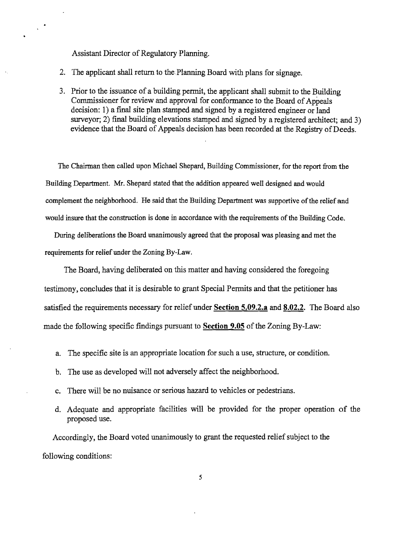Assistant Director of Regulatory Planning.

 $\chi^{\pm\frac{1}{2}}$ 

- 2. The applicant shall return to the Planning Board with plans for signage.
- 3. Prior to the issuance of a building permit, the applicant shall submit to the Building Commissioner for review and approval for conformance to the Board of Appeals decision: 1) a final site plan stamped and signed by a registered engineer or land surveyor; 2) final building elevations stamped and signed by a registered architect; and 3) evidence that the Board of Appeals decision has been recorded at the Registry of Deeds.

The Chairman then called upon Michael Shepard, Building Commissioner, for the report from the Building Department. Mr. Shepard stated that the addition appeared well designed and would complement the neighborhood. He said that the Building Department was supportive of the relief and would insure that the construction is done in accordance with the requirements of the Building Code.

During deliberations the Board unanimously agreed that the proposal was pleasing and met the requirements for relief under the Zoning By-Law.

The Board, having deliberated on this matter and having considered the foregoing testimony, concludes that it is desirable to grant Special Permits and that the petitioner has satisfied the requirements necessary for relief under **Section 5.09.2.a and 8.02.2.** The Board also made the following specific findings pursuant to **Section 9.05** of the Zoning By-Law:

- a. The specific site is an appropriate location for such a use, structure, or condition.
- b. The use as developed will not adversely affect the neighborhood.
- c. There will be no nuisance or serious hazard to vehicles or pedestrians.
- d. Adequate and appropriate facilities will be provided for the proper operation of the proposed use.

Accordingly, the Board voted unanimously to grant the requested relief subject to the following conditions: